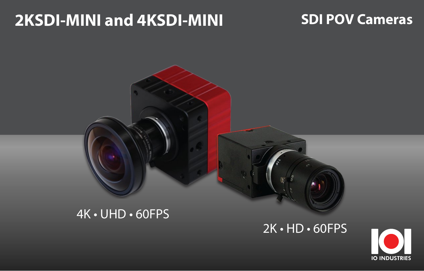## **2KSDI-MINI and 4KSDI-MINI**

## **SDI POV Cameras**



## 2K • HD • 60FPS